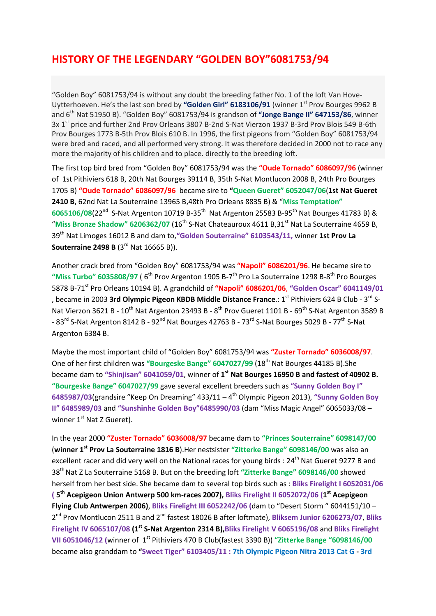## HISTORY OF THE LEGENDARY "GOLDEN BOY"6081753/94

"Golden Boy" 6081753/94 is without any doubt the breeding father No. 1 of the loft Van Hove-Uytterhoeven. He's the last son bred by "Golden Girl" 6183106/91 (winner 1<sup>st</sup> Prov Bourges 9962 B and  $6<sup>th</sup>$  Nat 51950 B). "Golden Boy" 6081753/94 is grandson of "Jonge Bange II" 647153/86, winner 3x 1<sup>st</sup> price and further 2nd Prov Orleans 3807 B-2nd S-Nat Vierzon 1937 B-3rd Prov Blois 549 B-6th Prov Bourges 1773 B-5th Prov Blois 610 B. In 1996, the first pigeons from "Golden Boy" 6081753/94 were bred and raced, and all performed very strong. It was therefore decided in 2000 not to race any more the majority of his children and to place. directly to the breeding loft.

The first top bird bred from "Golden Boy" 6081753/94 was the "Oude Tornado" 6086097/96 (winner of 1st Pithiviers 618 B, 20th Nat Bourges 39114 B, 35th S-Nat Montlucon 2008 B, 24th Pro Bourges 1705 B) "Oude Tornado" 6086097/96 became sire to "Queen Gueret" 6052047/06(1st Nat Gueret 2410 B, 62nd Nat La Souterraine 13965 B,48th Pro Orleans 8835 B) & "Miss Temptation" 6065106/08(22<sup>nd</sup> S-Nat Argenton 10719 B-35<sup>th</sup> Nat Argenton 25583 B-95<sup>th</sup> Nat Bourges 41783 B) & "Miss Bronze Shadow" 6206362/07 ( $16<sup>th</sup>$  S-Nat Chateauroux 4611 B,31 $<sup>st</sup>$  Nat La Souterraine 4659 B,</sup> 39<sup>th</sup> Nat Limoges 16012 B and dam to, "Golden Souterraine" 6103543/11, winner 1st Prov La Souterraine 2498 B (3<sup>rd</sup> Nat 16665 B)).

Another crack bred from "Golden Boy" 6081753/94 was "Napoli" 6086201/96. He became sire to "Miss Turbo" 6035808/97 ( $6<sup>th</sup>$  Prov Argenton 1905 B-7 $<sup>th</sup>$  Pro La Souterraine 1298 B-8 $<sup>th</sup>$  Pro Bourges</sup></sup> 5878 B-71<sup>st</sup> Pro Orleans 10194 B). A grandchild of "Napoli" 6086201/06, "Golden Oscar" 6041149/01 , became in 2003 3rd Olympic Pigeon KBDB Middle Distance France.:  $1^{st}$  Pithiviers 624 B Club - 3<sup>rd</sup> S-Nat Vierzon 3621 B - 10<sup>th</sup> Nat Argenton 23493 B - 8<sup>th</sup> Prov Gueret 1101 B - 69<sup>th</sup> S-Nat Argenton 3589 B - 83<sup>rd</sup> S-Nat Argenton 8142 B - 92<sup>nd</sup> Nat Bourges 42763 B - 73<sup>rd</sup> S-Nat Bourges 5029 B - 77<sup>th</sup> S-Nat Argenton 6384 B.

Maybe the most important child of "Golden Boy" 6081753/94 was "Zuster Tornado" 6036008/97. One of her first children was "Bourgeske Bange" 6047027/99 (18<sup>th</sup> Nat Bourges 44185 B). She became dam to "Shinjisan" 6041059/01, winner of 1<sup>st</sup> Nat Bourges 16950 B and fastest of 40902 B. "Bourgeske Bange" 6047027/99 gave several excellent breeders such as "Sunny Golden Boy I" 6485987/03(grandsire "Keep On Dreaming"  $433/11 - 4$ <sup>th</sup> Olympic Pigeon 2013), "Sunny Golden Boy II" 6485989/03 and "Sunshinhe Golden Boy"6485990/03 (dam "Miss Magic Angel" 6065033/08 – winner 1<sup>st</sup> Nat Z Gueret).

In the year 2000 "Zuster Tornado" 6036008/97 became dam to "Princes Souterraine" 6098147/00 (winner 1<sup>st</sup> Prov La Souterraine 1816 B). Her nestsister "Zitterke Bange" 6098146/00 was also an excellent racer and did very well on the National races for young birds : 24<sup>th</sup> Nat Gueret 9277 B and 38<sup>th</sup> Nat Z La Souterraine 5168 B. But on the breeding loft "Zitterke Bange" 6098146/00 showed herself from her best side. She became dam to several top birds such as : Bliks Firelight I 6052031/06 (5<sup>th</sup> Acepigeon Union Antwerp 500 km-races 2007), Bliks Firelight II 6052072/06 (1<sup>st</sup> Acepigeon Flying Club Antwerpen 2006), Bliks Firelight III 6052242/06 (dam to "Desert Storm " 6044151/10 -2<sup>nd</sup> Prov Montlucon 2511 B and 2<sup>nd</sup> fastest 18026 B after loftmate), Bliksem Junior 6206273/07, Bliks Firelight IV 6065107/08 (1<sup>st</sup> S-Nat Argenton 2314 B), Bliks Firelight V 6065196/08 and Bliks Firelight VII 6051046/12 (winner of  $1<sup>st</sup>$  Pithiviers 470 B Club(fastest 3390 B)) "Zitterke Bange "6098146/00 became also granddam to "Sweet Tiger" 6103405/11 : 7th Olympic Pigeon Nitra 2013 Cat G - 3rd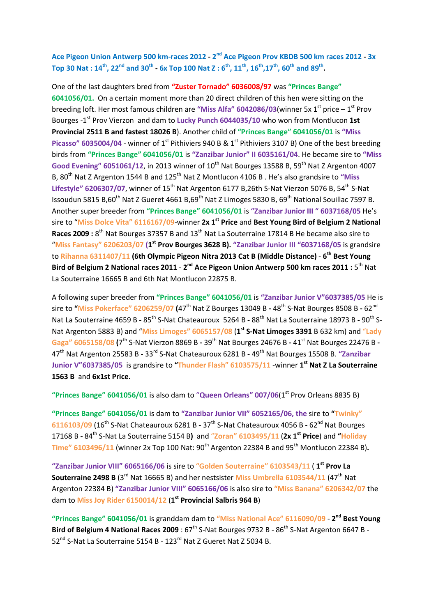Ace Pigeon Union Antwerp 500 km-races 2012 - 2<sup>nd</sup> Ace Pigeon Prov KBDB 500 km races 2012 - 3x Top 30 Nat :  $14^{th}$ , 22<sup>nd</sup> and 30<sup>th</sup> - 6x Top 100 Nat Z : 6<sup>th</sup>, 11<sup>th</sup>, 16<sup>th</sup>,17<sup>th</sup>, 60<sup>th</sup> and 89<sup>th</sup>.

One of the last daughters bred from "Zuster Tornado" 6036008/97 was "Princes Bange" 6041056/01. On a certain moment more than 20 direct children of this hen were sitting on the breeding loft. Her most famous children are "Miss Alfa" 6042086/03(winner 5x  $1<sup>st</sup>$  price –  $1<sup>st</sup>$  Prov Bourges -1<sup>st</sup> Prov Vierzon and dam to Lucky Punch 6044035/10 who won from Montlucon 1st Provincial 2511 B and fastest 18026 B). Another child of "Princes Bange" 6041056/01 is "Miss Picasso" 6035004/04 - winner of 1<sup>st</sup> Pithiviers 940 B & 1<sup>st</sup> Pithiviers 3107 B) One of the best breeding birds from "Princes Bange" 6041056/01 is "Zanzibar Junior" II 6035161/04. He became sire to "Miss Good Evening" 6051061/12, in 2013 winner of  $10^{th}$  Nat Bourges 13588 B, 59<sup>th</sup> Nat Z Argenton 4007 B, 80<sup>th</sup> Nat Z Argenton 1544 B and 125<sup>th</sup> Nat Z Montlucon 4106 B . He's also grandsire to "Miss Lifestyle" 6206307/07, winner of 15<sup>th</sup> Nat Argenton 6177 B,26th S-Nat Vierzon 5076 B, 54<sup>th</sup> S-Nat Issoudun 5815 B,60<sup>th</sup> Nat Z Gueret 4661 B,69<sup>th</sup> Nat Z Limoges 5830 B, 69<sup>th</sup> National Souillac 7597 B. Another super breeder from "Princes Bange" 6041056/01 is "Zanzibar Junior III " 6037168/05 He's sire to "Miss Dolce Vita" 6116167/09-winner 2x 1<sup>st</sup> Price and Best Young Bird of Belgium 2 National Races 2009 : 8<sup>th</sup> Nat Bourges 37357 B and 13<sup>th</sup> Nat La Souterraine 17814 B He became also sire to "Miss Fantasy" 6206203/07 (1<sup>st</sup> Prov Bourges 3628 B). "Zanzibar Junior III "6037168/05 is grandsire to Rihanna 6311407/11 (6th Olympic Pigeon Nitra 2013 Cat B (Middle Distance) - 6<sup>th</sup> Best Young Bird of Belgium 2 National races 2011 - 2<sup>nd</sup> Ace Pigeon Union Antwerp 500 km races 2011 : 5<sup>th</sup> Nat La Souterraine 16665 B and 6th Nat Montlucon 22875 B.

A following super breeder from "Princes Bange" 6041056/01 is "Zanzibar Junior V"6037385/05 He is sire to "Miss Pokerface" 6206259/07 (47<sup>th</sup> Nat Z Bourges 13049 B - 48<sup>th</sup> S-Nat Bourges 8508 B - 62<sup>nd</sup> Nat La Souterraine 4659 B - 85<sup>th</sup> S-Nat Chateauroux 5264 B - 88<sup>th</sup> Nat La Souterraine 18973 B - 90<sup>th</sup> S-Nat Argenton 5883 B) and "Miss Limoges" 6065157/08 (1<sup>st</sup> S-Nat Limoges 3391 B 632 km) and "Lady Gaga" 6065158/08 (7<sup>th</sup> S-Nat Vierzon 8869 B - 39<sup>th</sup> Nat Bourges 24676 B - 41<sup>st</sup> Nat Bourges 22476 B -47<sup>th</sup> Nat Argenton 25583 B - 33<sup>rd</sup> S-Nat Chateauroux 6281 B - 49<sup>th</sup> Nat Bourges 15508 B. "Zanzibar Junior V"6037385/05 is grandsire to "Thunder Flash" 6103575/11 -winner 1<sup>st</sup> Nat Z La Souterraine 1563 B and 6x1st Price.

"Princes Bange" 6041056/01 is also dam to "Queen Orleans" 007/06( $1<sup>st</sup>$  Prov Orleans 8835 B)

"Princes Bange" 6041056/01 is dam to "Zanzibar Junior VII" 6052165/06, the sire to "Twinky" 6116103/09 (16<sup>th</sup> S-Nat Chateauroux 6281 B - 37<sup>th</sup> S-Nat Chateauroux 4056 B - 62<sup>nd</sup> Nat Bourges 17168 B - 84<sup>th</sup> S-Nat La Souterraine 5154 B) and "Zoran" 6103495/11 (2x 1<sup>st</sup> Price) and "Holiday Time"  $6103496/11$  (winner 2x Top 100 Nat:  $90<sup>th</sup>$  Argenton 22384 B and  $95<sup>th</sup>$  Montlucon 22384 B).

"Zanzibar Junior VIII" 6065166/06 is sire to "Golden Souterraine" 6103543/11 (1<sup>st</sup> Prov La Souterraine 2498 B ( $3^{\text{rd}}$  Nat 16665 B) and her nestsister Miss Umbrella 6103544/11 (47<sup>th</sup> Nat Argenton 22384 B) "Zanzibar Junior VIII" 6065166/06 is also sire to "Miss Banana" 6206342/07 the dam to Miss Joy Rider 6150014/12 (1<sup>st</sup> Provincial Salbris 964 B)

"Princes Bange" 6041056/01 is granddam dam to "Miss National Ace" 6116090/09 - 2<sup>nd</sup> Best Young Bird of Belgium 4 National Races 2009 :  $67<sup>th</sup>$  S-Nat Bourges 9732 B -  $86<sup>th</sup>$  S-Nat Argenton 6647 B -52<sup>nd</sup> S-Nat La Souterraine 5154 B - 123<sup>rd</sup> Nat Z Gueret Nat Z 5034 B.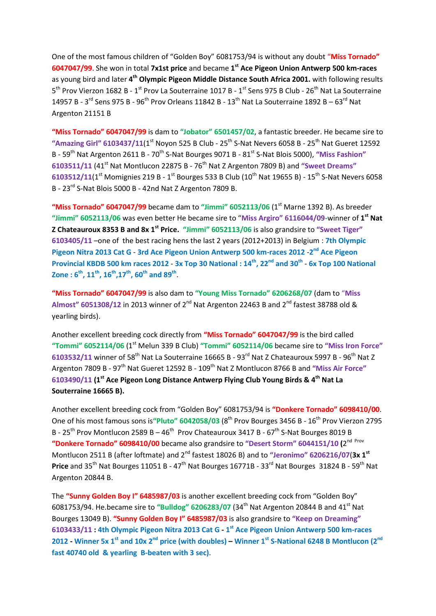One of the most famous children of "Golden Boy" 6081753/94 is without any doubt "Miss Tornado" 6047047/99. She won in total 7x1st price and became 1<sup>st</sup> Ace Pigeon Union Antwerp 500 km-races as young bird and later 4<sup>th</sup> Olympic Pigeon Middle Distance South Africa 2001. with following results 5<sup>th</sup> Prov Vierzon 1682 B - 1<sup>st</sup> Prov La Souterraine 1017 B - 1<sup>st</sup> Sens 975 B Club - 26<sup>th</sup> Nat La Souterraine 14957 B - 3<sup>rd</sup> Sens 975 B - 96<sup>th</sup> Prov Orleans 11842 B - 13<sup>th</sup> Nat La Souterraine 1892 B - 63<sup>rd</sup> Nat Argenton 21151 B

"Miss Tornado" 6047047/99 is dam to "Jobator" 6501457/02, a fantastic breeder. He became sire to "Amazing Girl" 6103437/11(1st Noyon 525 B Club -  $25<sup>th</sup>$  S-Nat Nevers 6058 B -  $25<sup>th</sup>$  Nat Gueret 12592 B - 59<sup>th</sup> Nat Argenton 2611 B - 70<sup>th</sup> S-Nat Bourges 9071 B - 81<sup>st</sup> S-Nat Blois 5000), "Miss Fashion" 6103511/11 (41<sup>st</sup> Nat Montlucon 22875 B - 76<sup>th</sup> Nat Z Argenton 7809 B) and "Sweet Dreams" 6103512/11(1<sup>st</sup> Momignies 219 B - 1<sup>st</sup> Bourges 533 B Club (10<sup>th</sup> Nat 19655 B) - 15<sup>th</sup> S-Nat Nevers 6058 B - 23<sup>rd</sup> S-Nat Blois 5000 B - 42nd Nat Z Argenton 7809 B.

"Miss Tornado" 6047047/99 became dam to "Jimmi" 6052113/06 (1st Marne 1392 B). As breeder "Jimmi" 6052113/06 was even better He became sire to "Miss Argiro" 6116044/09-winner of  $1<sup>st</sup>$  Nat Z Chateauroux 8353 B and 8x 1<sup>st</sup> Price. "Jimmi" 6052113/06 is also grandsire to "Sweet Tiger" 6103405/11 –one of the best racing hens the last 2 years (2012+2013) in Belgium : 7th Olympic Pigeon Nitra 2013 Cat G - 3rd Ace Pigeon Union Antwerp 500 km-races 2012 - 2<sup>nd</sup> Ace Pigeon Provincial KBDB 500 km races 2012 - 3x Top 30 National :  $14^{th}$ , 22<sup>nd</sup> and 30<sup>th</sup> - 6x Top 100 National Zone :  $\boldsymbol{6}^{\text{th}}$ ,  $\boldsymbol{11}^{\text{th}}$ ,  $\boldsymbol{16}^{\text{th}}$ , $\boldsymbol{17}^{\text{th}}$ ,  $\boldsymbol{60}^{\text{th}}$  and  $\boldsymbol{89}^{\text{th}}$  .

"Miss Tornado" 6047047/99 is also dam to "Young Miss Tornado" 6206268/07 (dam to "Miss Almost"  $6051308/12$  in 2013 winner of 2<sup>nd</sup> Nat Argenton 22463 B and 2<sup>nd</sup> fastest 38788 old & yearling birds).

Another excellent breeding cock directly from "Miss Tornado" 6047047/99 is the bird called "Tommi" 6052114/06 ( $1<sup>st</sup>$  Melun 339 B Club) "Tommi" 6052114/06 became sire to "Miss Iron Force" 6103532/11 winner of 58<sup>th</sup> Nat La Souterraine 16665 B - 93<sup>rd</sup> Nat Z Chateauroux 5997 B - 96<sup>th</sup> Nat Z Argenton 7809 B - 97<sup>th</sup> Nat Gueret 12592 B - 109<sup>th</sup> Nat Z Montlucon 8766 B and "Miss Air Force" 6103490/11 (1<sup>st</sup> Ace Pigeon Long Distance Antwerp Flying Club Young Birds & 4<sup>th</sup> Nat La Souterraine 16665 B).

Another excellent breeding cock from "Golden Boy" 6081753/94 is "Donkere Tornado" 6098410/00. One of his most famous sons is "Pluto" 6042058/03 (8<sup>th</sup> Prov Bourges 3456 B - 16<sup>th</sup> Prov Vierzon 2795 B - 25<sup>th</sup> Prov Montlucon 2589 B - 46<sup>th</sup> Prov Chateauroux 3417 B - 67<sup>th</sup> S-Nat Bourges 8019 B "Donkere Tornado" 6098410/00 became also grandsire to "Desert Storm" 6044151/10 (2<sup>nd Prov</sup> Montlucon 2511 B (after loftmate) and 2<sup>nd</sup> fastest 18026 B) and to "Jeronimo" 6206216/07(3x 1<sup>st</sup> Price and 35<sup>th</sup> Nat Bourges 11051 B - 47<sup>th</sup> Nat Bourges 16771B - 33<sup>rd</sup> Nat Bourges 31824 B - 59<sup>th</sup> Nat Argenton 20844 B.

The "Sunny Golden Boy I" 6485987/03 is another excellent breeding cock from "Golden Boy" 6081753/94. He.became sire to "Bulldog" 6206283/07 (34<sup>th</sup> Nat Argenton 20844 B and 41<sup>st</sup> Nat Bourges 13049 B). "Sunny Golden Boy I" 6485987/03 is also grandsire to "Keep on Dreaming" 6103433/11 : 4th Olympic Pigeon Nitra 2013 Cat G - 1<sup>st</sup> Ace Pigeon Union Antwerp 500 km-races 2012 - Winner 5x 1<sup>st</sup> and 10x 2<sup>nd</sup> price (with doubles) – Winner 1<sup>st</sup> S-National 6248 B Montlucon (2<sup>nd</sup> fast 40740 old & yearling B-beaten with 3 sec).